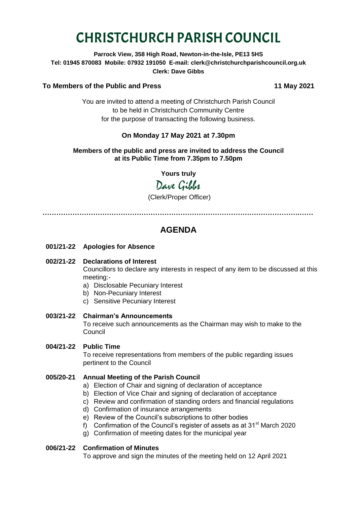# CHRISTCHURCH PARISH COUNCIL

**Parrock View, 358 High Road, Newton-in-the-Isle, PE13 5HS Tel: 01945 870083 Mobile: 07932 191050 E-mail: clerk@christchurchparishcouncil.org.uk Clerk: Dave Gibbs**

#### **To Members of the Public and Press 11 May 2021**

You are invited to attend a meeting of Christchurch Parish Council to be held in Christchurch Community Centre for the purpose of transacting the following business.

# **On Monday 17 May 2021 at 7.30pm**

#### **Members of the public and press are invited to address the Council at its Public Time from 7.35pm to 7.50pm**

**Yours truly**

Dave Gilber

(Clerk/Proper Officer)

**………………………………………………………………………………………………….……**

# **AGENDA**

- **001/21-22 Apologies for Absence**
- **002/21-22 Declarations of Interest**

Councillors to declare any interests in respect of any item to be discussed at this meeting:-

- a) Disclosable Pecuniary Interest
- b) Non-Pecuniary Interest
- c) Sensitive Pecuniary Interest
- **003/21-22 Chairman's Announcements**

To receive such announcements as the Chairman may wish to make to the Council

**004/21-22 Public Time**

To receive representations from members of the public regarding issues pertinent to the Council

#### **005/20-21 Annual Meeting of the Parish Council**

- a) Election of Chair and signing of declaration of acceptance
- b) Election of Vice Chair and signing of declaration of acceptance
- c) Review and confirmation of standing orders and financial regulations
- d) Confirmation of insurance arrangements
- e) Review of the Council's subscriptions to other bodies
- f) Confirmation of the Council's register of assets as at  $31<sup>st</sup>$  March 2020
- g) Confirmation of meeting dates for the municipal year

#### **006/21-22 Confirmation of Minutes**

To approve and sign the minutes of the meeting held on 12 April 2021